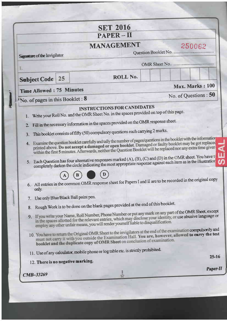|                                                 | <b>SET 2016</b><br><b>PAPER-II</b>                                                                                                                                                                                                                                                                                                                                                                                                                                                                                                                                                                                                                                                                                                                                                                     |                                |
|-------------------------------------------------|--------------------------------------------------------------------------------------------------------------------------------------------------------------------------------------------------------------------------------------------------------------------------------------------------------------------------------------------------------------------------------------------------------------------------------------------------------------------------------------------------------------------------------------------------------------------------------------------------------------------------------------------------------------------------------------------------------------------------------------------------------------------------------------------------------|--------------------------------|
| Signature of the Invigilator                    | <b>MANAGEMENT</b>                                                                                                                                                                                                                                                                                                                                                                                                                                                                                                                                                                                                                                                                                                                                                                                      | 250062<br>Question Booklet No. |
|                                                 |                                                                                                                                                                                                                                                                                                                                                                                                                                                                                                                                                                                                                                                                                                                                                                                                        | OMR Sheet No.                  |
| Ł.<br>25                                        | ROLL No.                                                                                                                                                                                                                                                                                                                                                                                                                                                                                                                                                                                                                                                                                                                                                                                               |                                |
| <b>Subject Code</b>                             |                                                                                                                                                                                                                                                                                                                                                                                                                                                                                                                                                                                                                                                                                                                                                                                                        | Max. Marks: 100                |
| <b>Time Allowed: 75 Minutes</b>                 |                                                                                                                                                                                                                                                                                                                                                                                                                                                                                                                                                                                                                                                                                                                                                                                                        | No. of Questions : 50          |
| No. of pages in this Booklet : 8                | <b>INSTRUCTIONS FOR CANDIDATES</b>                                                                                                                                                                                                                                                                                                                                                                                                                                                                                                                                                                                                                                                                                                                                                                     |                                |
| 2                                               | Fill in the necessary information in the spaces provided on the OMR response sheet.<br>This booklet consists of fifty (50) compulsory questions each carrying 2 marks.<br>4. Examine the question booklet carefully and tally the number of pages/questions in the booklet with the information<br>printed above. Do not accept a damaged or open booklet. Damaged or faulty booklet may be got replaced<br>within the first 5 minutes. Afterwards, neither the Question Booklet will be replaced nor any extra time given<br>5. Each Question has four alternative responses marked (A), (B), (C) and (D) in the OMR sheet. You have t<br>completely darken the circle indicating the most appropriate response against each item as in the illustration                                              |                                |
| only.<br>7. Use only Blue/Black Ball point pen. | 6. All entries in the common OMR response sheet for Papers I and II are to be recorded in the original copy                                                                                                                                                                                                                                                                                                                                                                                                                                                                                                                                                                                                                                                                                            |                                |
| 12. There is no negative marking.               | 8. Rough Work is to be done on the blank pages provided at the end of this booklet.<br>9. If you write your Name, Roll Number, Phone Number or put any mark on any part of the OMR Sheet, except<br>in the spaces allotted for the relevant entries, which may disclose your identity, or use abusive language or<br>employ any other unfair means, you will render yourself liable to disqualification.<br>10. You have to return the Original OMR Sheet to the invigilators at the end of the examination compulsorily and<br>must not carry it with you outside the Examination Hall. You are, however, allowed to carry the test<br>booklet and the duplicate copy of OMR Sheet on conclusion of examination.<br>11. Use of any calculator, mobile phone or log table etc. is strictly prohibited. | $25 - 16$<br>Paper-II          |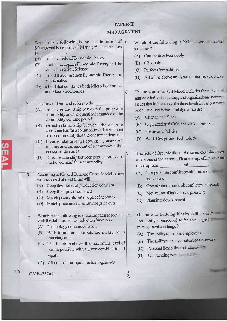## **PAPER-II MANAGEMENT**

6.

7.

- $\pi$  and  $\pi$  of the following is the best definition of  $\left| \xi \right|$ Managerial Economics ? Managerial Economics  $is$   $\qquad \qquad$ 
	- (A) a distinct field of Economic Theory
	- (B) a field that applies Economic Theory and the tools of Decision Science
	- (C) a field that combines Economic Theory and Mathematics
	- (D) a field that combines both Micro Economics and Macro Economics
- The Law of Demand refers to the  $2.$ 
	- (A) Inverse relationship between the price of a commodity and the quantity demanded of the commodity per time period
	- (B) Direct relationship between the desire a consumer has for a commodity and the amount of the commodity that the consumer demands
	- (C) Inverse relationship between a consumer's income and the amount of a commodity that consumer demands
	- (D) Direct relationship between population and the market demand for a commodity
- According to Kinked Demand Curve Model, a firm  $3.$ will assume that rival firms will
	- (A) Keep their rates of production constant
	- (B) Keep their prices constant
	- (C) Match price cuts but not price increases
	- (D) Match price increases but not price cuts
- Which of the following is an assumption associated  $|8$ .  $4.$ with the definition of a production function?
	- (A) Technology remains constant
	- (B) Both inputs and outputs are measured in monetary units
	- (C) The function shows the maximum level of output possible with a given combination of inputs
	- (D) All units of the inputs are homogeneous

CMB-33269

 $C<sub>2</sub>$ 

- Which of the following is NOT a repeat the series structure?
- (A) Competitive Monopoly
- (B) Oligopoly
- (C) Perfect Competition
- (D) All of the above are types of market structures
- The structure of an OB Model includes three levels of analysis: individual, group, and organizational systems. Issues that influence all the three levels in various ways and thus affect behavioral dynamics are:
	- (A) Change and Stress
	- (B) Organizational Culture and Commitment
	- (C) Power and Politics
	- (D) Work Design and Technology
	- The field of Organizational Behavior examines questions as the nature of leadership, effective and development
		- (A) Interpersonal conflict resolution, motiv individuals
		- (B) Organizational control; conflict managers
		- (C) Motivation of individuals; planning
		- (D) Planning; development
	- Of the four building blocks skills, where frequently considered to be the larges. management challenge?
	- (A) The ability to inspire employees
	- (B) The ability to analyze situations on
	- (C) Personal flexibility and address of
	- (D) Outstanding perceptual same

 $\overline{2}$ ☆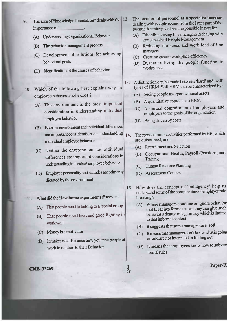- 9. The area of "knowledge foundation" deals with the 12. importance of
	- (A) Understanding Organizational Behavior
	- (B) The behavior management process
	- (C) Development of solutions for achieving behavioral goals
	- (D) Identification of the causes of behavior
	- Which of the following best explains why an 10. employee behaves as s/he does ?
		- (A) The environment is the most important consideration in understanding individua employee behavior
		- (B) Both the environment and individual differences arc important considerations in understanding individual employee behavior
		- (C) Neither the environment nor individual differences are important considerations in undentanding individual employee behavior
		- (D) Employee personality and attitudes are primarily dictated by the environment
	- <sup>I</sup>L What did the Hawdtome experiments discover ?
		- That people need to belong to a 'social group' (A)
		- That people need heat and good lighting to (B) work well
		- $(C)$  Money is a motivator
		- (D) It makes no difference how you treat people at work in relation to their Behavior
- The creation of personnel as a specialist function dealing with people issues from the latter part of the twentieth century has been responsible in part for :
- (A) Disenfranchising line managers in dealing with key aspects of People Management
- (B) Reducing the stress and work load of line managers
- (C) Creating geater workplace efficiency
- (D) Bureaucratizing the people function in workplaces
- 13. A distinction can be made between 'hard' and 'soft' types of HRM. Soft HRM can be characterized by :
	- (A) Seeing people as organizational assets
	- (B) A quantitative approach to HRM
	- (C) A mutual commitment of employees and employers to the goals ofthe organization
	- (D) Being driven by costs
- The most common activities performed by HR, which are outsourced, are : 14.
	- (A) Recruitrnent and Selection
	- (B) Occupational Health, Payroll, Pensions, and Training
	- (C) Human Resource Planning
	- @) Assessment Centers
- How does the concept of 'indulgency' help us understand some of the complexities of employee rule breaking ?  $15.$ 
	- (A) Where managers condone or ignore behavior<br>that breaches formal rules, they can give such behavior a degree of legitimacy which is limited to that informal context
	- @) It suggests that some managers are 'soft'
	- (C) It means that managers don't know what is going on and are not interested in finding out
	- (D) It means that employees know how to subverl formal rules

Paper-II

**CMB-33269**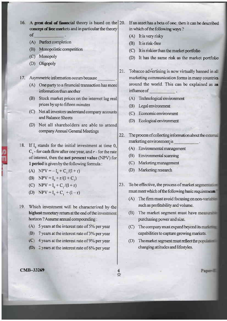- 16. A great deal of financial theory is based on the  $|20$ . concept of free markets and in particular the theory of
	- (A) Ferfect completion
	- (B) Monopolistic competition
	- (C) Monopoly
	- (D) Oligopoly
- 17. Asymmetric information occurs because
	- (A) One party to a financial transaction has more information than another
	- (B) Stock market prices on the internet lag real prices by up to fifteen minutes
	- Not all investors understand company accounts (c) and Balance Sheets
	- (D) Not all shareholders are able to attend company Annual General Meetings
- 18. If  $I_0$  stands for the initial investment at time 0,  $C_1$  - for cash flow after one year, and r - for the rate of interest, then the net present value (NPV) for I period is given by the following formula :
	- (A) NPV =  $-I_0 + C_1/(l+r)$
	- (B) NPV =  $I_0 + r/(l+C_1)$
	- (C) NPV =  $I_0 + C_1/(1+r)$
	- (D) NPV =  $I_0 + C_1 + (l-r)$
- 19. Which investment will be characterized by the highest monetary return at the end of the investment horizon ? Assume annual compounding :
	- (A) 5 years at the interest rate of  $5%$  per year
	- $|B|$  7 years at the interest rate of 3% per year
	- $(C, 4)$  years at the interest rate of 9% per year
	- **(D)** 2 years at the interest rate of 6% per year

## **CMB-33269**  $\frac{4}{x}$

- If an asset has a beta of one, then it can be described in which of the following ways?
- (A) It is very risky
- (B) It is risk-free
- $(C)$  It is riskier than the market portfolio
- (D) It has the same risk as the market portfolio
- 21. Tobacco advertising is now virtually banned in all marketing communication forms in many countries around the world. This can be explained as a influence of
	- (A) Technological environment
	- (B) Legal environment
	- (C) Economicenvironment
	- (D) Ecological environment
- 22. The process of collecting information about the external marketing environment is
	- (A) Environmental management
	- (B) Environmental scanning
	- (C) Marketingmanagement
	- @) Marketing research
- 23. To be effective, the process of market segments  $\blacksquare$ must meet which of the following basic requirements
	- (A) The firm must avoid focusing on nonsuch as profitabilitv and volume.
	- (B) The market segment must have measured purchasing power and size.
	- (c) The company must expand beyond is capabilities to capture growing markets
	- (D) The market segment must reflect the changing attitudes and lifestyles.

Paper-ill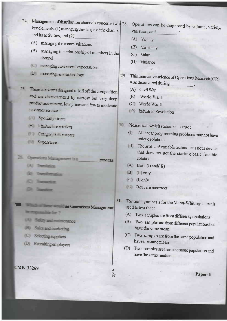- 24. Management of distribution channels concerns two 28. key elements: (1) managing the design of the channel and its activities, and  $(2)$ 
	- (A) managing the communications
	- (B) managing the relationship of members in the channel
	- (C) managing customers' expectations
	- D Emergency micrology
- These are signed to kill off the competition 25. and are characterized by narrow but very deep product assorbing the low prices and few to moderate **CUSCITLE SETTION:** 
	- **A** Specialty stores
	- **E** LETted the retailers
	- **C** Category killer stores
	- D Surgence
- Operations Management is a 36 **TTURE** 
	- (A) Translation
	- **Constitution**
	- **The parties**
	- œ **Construction**

Commerces Manager not mention for ?

- (A) Safety and maintenance
- (B) Sales and marketing
- (C) Selecting suppliers
- (D) Recruiting employees

CMB-33269

- Operations can be diagnosed by volume, variety, variation, and
	- (A) Validity
	- (B) Variability
	- $(C)$ Value
	- (D) Variance
- This innovative science of Operations Research (OR) 29. was discovered during
	- (A) Civil War
	- (B) World War I
	- (C) World War II
	- D Industrial Revolution
- Please state which statement is true :  $30^{\circ}$ 
	- All linear programming problems may not have  $\prod$ unique solutions.
	- $\Pi$  The artificial variable technique is not a device that does not get the starting basic feasible solution.
	- $A \in$  Both (I) and (II)
	- $B \nightharpoonup (II)$  only
	- $\Box$  (I) only

5<br>☆

- Both are incorrect  $D +$
- 31. The null hypothesis for the Mann-Whitney U test is used to test that :
	- (A) Two samples are from different populations
	- Two samples are from different populations but (B) have the same mean
	- (C) Two samples are from the same population and have the same mean
	- (D) Two samples are from the same population and have the same median

Paper-II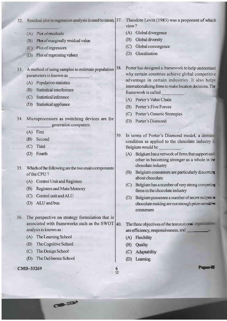## Residual plot in regression analysis is used to mean  $|37$ . Theodore Levitt (1983) was a proponent of which  $32.$

- A Pix of residuals
- (B) Plot of marginally residual value
- (c) Plot ofregressors
- (D) Plot of regressing values
- 33. A method of using samples to estimate population parameters is known as 38.
	- (A) Population statistics
	- (B) Statistical interference
	- (C) Statistical inference
	- (D) Statistical appliance
- 34. Microprocessors as switching devices are for generation computers.
	- $(A)$  First
	- @) Second
	- $(C)$  Third
	- (D) Fourth
- <sup>3</sup>5. Which ofthe following are the two main components of the CPU?
	- (A) Control Unit and Registers
	- @) Registers and Main Memory
	- (C) Contol unit andALU
	- @) ALU and bus
- 36. The perspective on strategy formulation that is associated with frameworks such as the SWOT  $|40\rangle$ . analysis is known as :

ct'ao'

- (A) The Learning School
- @) The Cognitive School
- (C) The Design School
- @) The Deliberate School

## cMB-33269

- view ?
- (A) Global divergence
- (B) Global diversity
- (C) Global convergence
- @) Glocalization

Porter has designed a framework to help understand why certain countries achieve global competitive advantage in certain industries. It also helps intemationalizing firms to make location decisiors. Th framework is called

- (A) Porter's Value Chain
- @) Porter's Five Forces
- (C) Porter's Generic Strategies
- @) Porter's Diamond
- In terms of Porter's Diamond model. a condition as applied to the chocolate industry Belgium would be 39.
	- $(A)$  Belgium has a network of firms that support other in becoming stronger as a whole in the chocolate industry
	- (B) Belgium consumers are particularly discerning about chocolate
	- (C) Belgium has a number of very strong competing firms in the chocolate industry
	- (D) Belgium possesses a number of secret records chocolate making are not enough price-separate consumers

r-r

- The three objectives of the transnarian are efficiency, responsiveness, and
	- (A) Rexibility
	- (B) Quality
	- (C) Adaptability
	- (D) Learning

**Q**